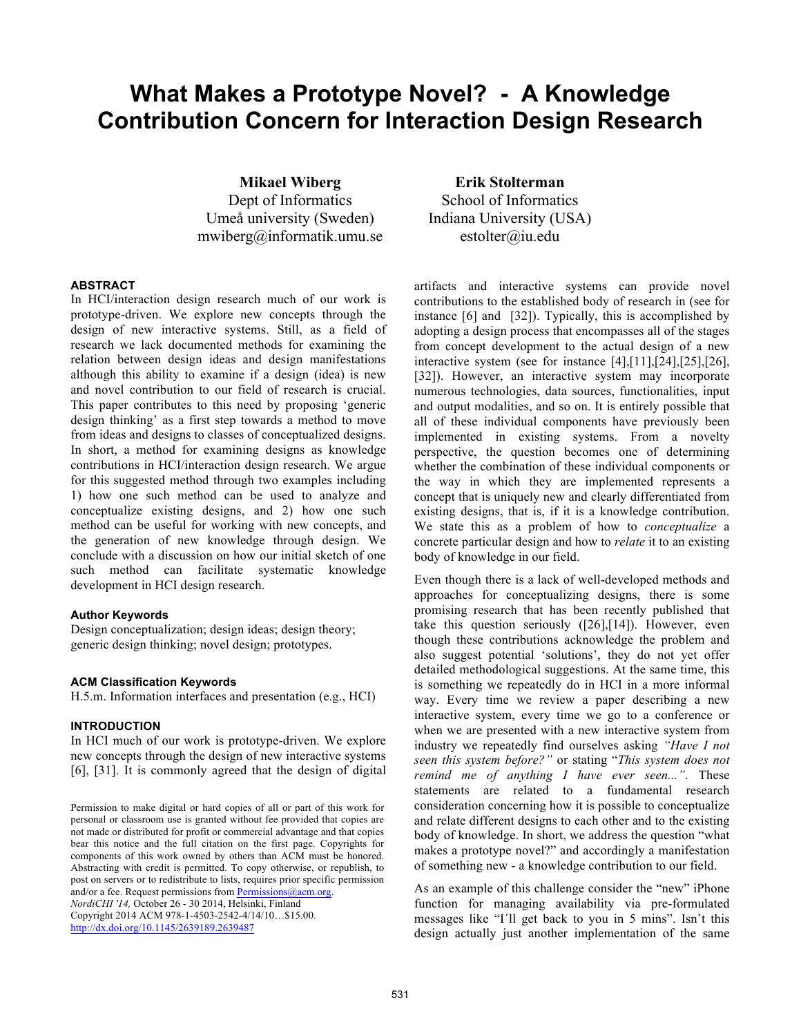# **What Makes a Prototype Novel? - A Knowledge Contribution Concern for Interaction Design Research**

**Mikael Wiberg**  Dept of Informatics Umeå university (Sweden) mwiberg@informatik.umu.se

#### **ABSTRACT**

In HCI/interaction design research much of our work is prototype-driven. We explore new concepts through the design of new interactive systems. Still, as a field of research we lack documented methods for examining the relation between design ideas and design manifestations although this ability to examine if a design (idea) is new and novel contribution to our field of research is crucial. This paper contributes to this need by proposing 'generic design thinking' as a first step towards a method to move from ideas and designs to classes of conceptualized designs. In short, a method for examining designs as knowledge contributions in HCI/interaction design research. We argue for this suggested method through two examples including 1) how one such method can be used to analyze and conceptualize existing designs, and 2) how one such method can be useful for working with new concepts, and the generation of new knowledge through design. We conclude with a discussion on how our initial sketch of one such method can facilitate systematic knowledge development in HCI design research.

#### **Author Keywords**

Design conceptualization; design ideas; design theory; generic design thinking; novel design; prototypes.

#### **ACM Classification Keywords**

H.5.m. Information interfaces and presentation (e.g., HCI)

## **INTRODUCTION**

In HCI much of our work is prototype-driven. We explore new concepts through the design of new interactive systems [6], [31]. It is commonly agreed that the design of digital

http://dx.doi.org/10.1145/2639189.2639487

**Erik Stolterman**  School of Informatics Indiana University (USA) estolter@iu.edu

artifacts and interactive systems can provide novel contributions to the established body of research in (see for instance [6] and [32]). Typically, this is accomplished by adopting a design process that encompasses all of the stages from concept development to the actual design of a new interactive system (see for instance [4],[11],[24],[25],[26], [32]). However, an interactive system may incorporate numerous technologies, data sources, functionalities, input and output modalities, and so on. It is entirely possible that all of these individual components have previously been implemented in existing systems. From a novelty perspective, the question becomes one of determining whether the combination of these individual components or the way in which they are implemented represents a concept that is uniquely new and clearly differentiated from existing designs, that is, if it is a knowledge contribution. We state this as a problem of how to *conceptualize* a concrete particular design and how to *relate* it to an existing body of knowledge in our field.

Even though there is a lack of well-developed methods and approaches for conceptualizing designs, there is some promising research that has been recently published that take this question seriously ([26],[14]). However, even though these contributions acknowledge the problem and also suggest potential 'solutions', they do not yet offer detailed methodological suggestions. At the same time, this is something we repeatedly do in HCI in a more informal way. Every time we review a paper describing a new interactive system, every time we go to a conference or when we are presented with a new interactive system from industry we repeatedly find ourselves asking *"Have I not seen this system before?"* or stating "*This system does not remind me of anything I have ever seen..."*. These statements are related to a fundamental research consideration concerning how it is possible to conceptualize and relate different designs to each other and to the existing body of knowledge. In short, we address the question "what makes a prototype novel?" and accordingly a manifestation of something new - a knowledge contribution to our field.

As an example of this challenge consider the "new" iPhone function for managing availability via pre-formulated messages like "I´ll get back to you in 5 mins". Isn't this design actually just another implementation of the same

Permission to make digital or hard copies of all or part of this work for personal or classroom use is granted without fee provided that copies are not made or distributed for profit or commercial advantage and that copies bear this notice and the full citation on the first page. Copyrights for components of this work owned by others than ACM must be honored. Abstracting with credit is permitted. To copy otherwise, or republish, to post on servers or to redistribute to lists, requires prior specific permission and/or a fee. Request permissions from Permissions@acm.org. *NordiCHI '14,* October 26 - 30 2014, Helsinki, Finland Copyright 2014 ACM 978-1-4503-2542-4/14/10…\$15.00.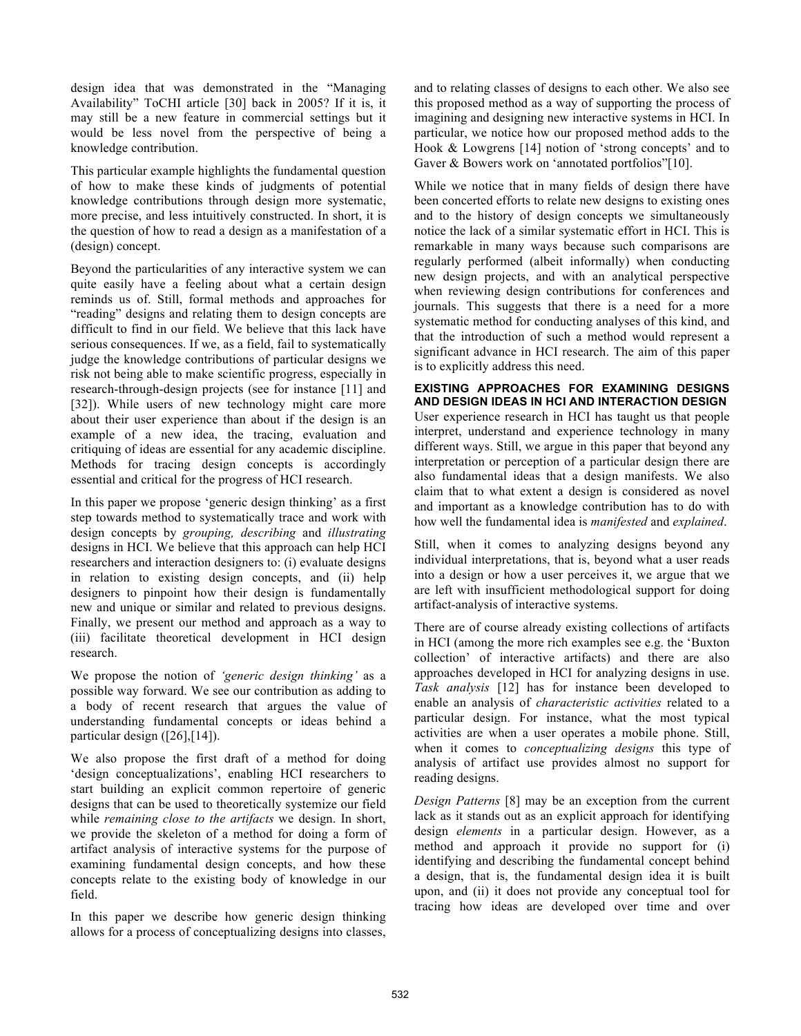design idea that was demonstrated in the "Managing Availability" ToCHI article [30] back in 2005? If it is, it may still be a new feature in commercial settings but it would be less novel from the perspective of being a knowledge contribution.

This particular example highlights the fundamental question of how to make these kinds of judgments of potential knowledge contributions through design more systematic, more precise, and less intuitively constructed. In short, it is the question of how to read a design as a manifestation of a (design) concept.

Beyond the particularities of any interactive system we can quite easily have a feeling about what a certain design reminds us of. Still, formal methods and approaches for "reading" designs and relating them to design concepts are difficult to find in our field. We believe that this lack have serious consequences. If we, as a field, fail to systematically judge the knowledge contributions of particular designs we risk not being able to make scientific progress, especially in research-through-design projects (see for instance [11] and [32]). While users of new technology might care more about their user experience than about if the design is an example of a new idea, the tracing, evaluation and critiquing of ideas are essential for any academic discipline. Methods for tracing design concepts is accordingly essential and critical for the progress of HCI research.

In this paper we propose 'generic design thinking' as a first step towards method to systematically trace and work with design concepts by *grouping, describing* and *illustrating*  designs in HCI. We believe that this approach can help HCI researchers and interaction designers to: (i) evaluate designs in relation to existing design concepts, and (ii) help designers to pinpoint how their design is fundamentally new and unique or similar and related to previous designs. Finally, we present our method and approach as a way to (iii) facilitate theoretical development in HCI design research.

We propose the notion of *'generic design thinking'* as a possible way forward. We see our contribution as adding to a body of recent research that argues the value of understanding fundamental concepts or ideas behind a particular design ([26],[14]).

We also propose the first draft of a method for doing 'design conceptualizations', enabling HCI researchers to start building an explicit common repertoire of generic designs that can be used to theoretically systemize our field while *remaining close to the artifacts* we design. In short, we provide the skeleton of a method for doing a form of artifact analysis of interactive systems for the purpose of examining fundamental design concepts, and how these concepts relate to the existing body of knowledge in our field.

In this paper we describe how generic design thinking allows for a process of conceptualizing designs into classes,

and to relating classes of designs to each other. We also see this proposed method as a way of supporting the process of imagining and designing new interactive systems in HCI. In particular, we notice how our proposed method adds to the Hook & Lowgrens [14] notion of 'strong concepts' and to Gaver & Bowers work on 'annotated portfolios"[10].

While we notice that in many fields of design there have been concerted efforts to relate new designs to existing ones and to the history of design concepts we simultaneously notice the lack of a similar systematic effort in HCI. This is remarkable in many ways because such comparisons are regularly performed (albeit informally) when conducting new design projects, and with an analytical perspective when reviewing design contributions for conferences and journals. This suggests that there is a need for a more systematic method for conducting analyses of this kind, and that the introduction of such a method would represent a significant advance in HCI research. The aim of this paper is to explicitly address this need.

**EXISTING APPROACHES FOR EXAMINING DESIGNS AND DESIGN IDEAS IN HCI AND INTERACTION DESIGN** User experience research in HCI has taught us that people interpret, understand and experience technology in many different ways. Still, we argue in this paper that beyond any interpretation or perception of a particular design there are also fundamental ideas that a design manifests. We also claim that to what extent a design is considered as novel and important as a knowledge contribution has to do with how well the fundamental idea is *manifested* and *explained*.

Still, when it comes to analyzing designs beyond any individual interpretations, that is, beyond what a user reads into a design or how a user perceives it, we argue that we are left with insufficient methodological support for doing artifact-analysis of interactive systems.

There are of course already existing collections of artifacts in HCI (among the more rich examples see e.g. the 'Buxton collection' of interactive artifacts) and there are also approaches developed in HCI for analyzing designs in use. *Task analysis* [12] has for instance been developed to enable an analysis of *characteristic activities* related to a particular design. For instance, what the most typical activities are when a user operates a mobile phone. Still, when it comes to *conceptualizing designs* this type of analysis of artifact use provides almost no support for reading designs.

*Design Patterns* [8] may be an exception from the current lack as it stands out as an explicit approach for identifying design *elements* in a particular design. However, as a method and approach it provide no support for (i) identifying and describing the fundamental concept behind a design, that is, the fundamental design idea it is built upon, and (ii) it does not provide any conceptual tool for tracing how ideas are developed over time and over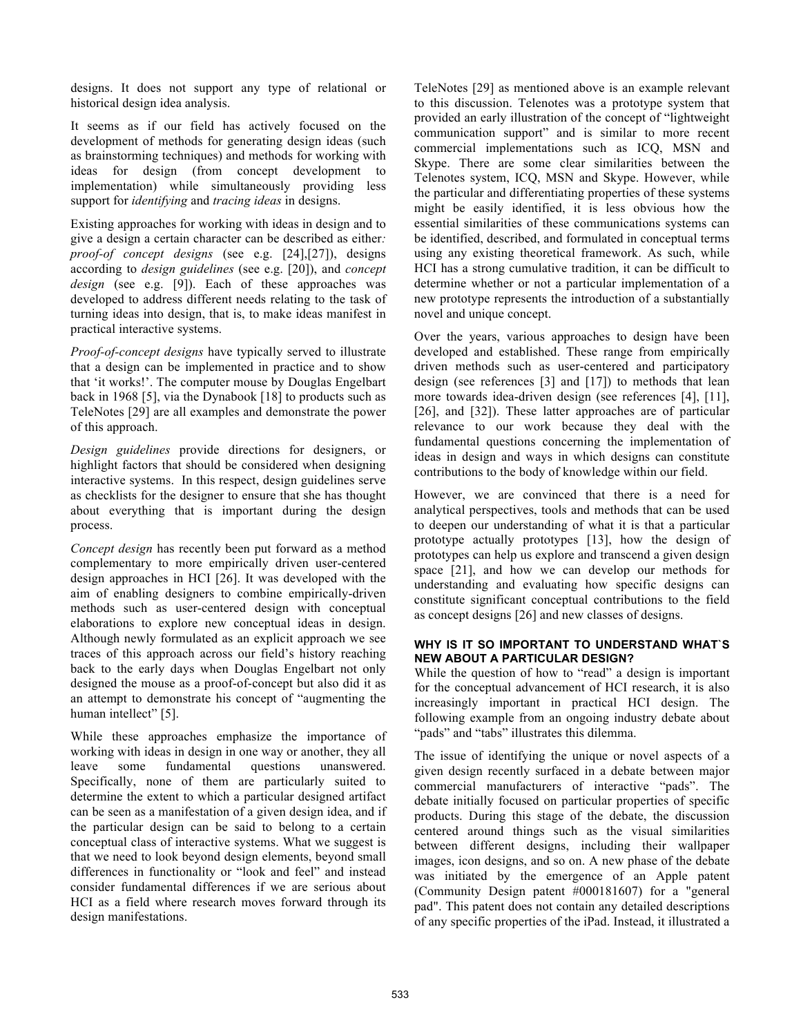designs. It does not support any type of relational or historical design idea analysis.

It seems as if our field has actively focused on the development of methods for generating design ideas (such as brainstorming techniques) and methods for working with ideas for design (from concept development to implementation) while simultaneously providing less support for *identifying* and *tracing ideas* in designs.

Existing approaches for working with ideas in design and to give a design a certain character can be described as either*: proof-of concept designs* (see e.g. [24],[27]), designs according to *design guidelines* (see e.g. [20]), and *concept design* (see e.g. [9]). Each of these approaches was developed to address different needs relating to the task of turning ideas into design, that is, to make ideas manifest in practical interactive systems.

*Proof-of-concept designs* have typically served to illustrate that a design can be implemented in practice and to show that 'it works!'. The computer mouse by Douglas Engelbart back in 1968 [5], via the Dynabook [18] to products such as TeleNotes [29] are all examples and demonstrate the power of this approach.

*Design guidelines* provide directions for designers, or highlight factors that should be considered when designing interactive systems. In this respect, design guidelines serve as checklists for the designer to ensure that she has thought about everything that is important during the design process.

*Concept design* has recently been put forward as a method complementary to more empirically driven user-centered design approaches in HCI [26]. It was developed with the aim of enabling designers to combine empirically-driven methods such as user-centered design with conceptual elaborations to explore new conceptual ideas in design. Although newly formulated as an explicit approach we see traces of this approach across our field's history reaching back to the early days when Douglas Engelbart not only designed the mouse as a proof-of-concept but also did it as an attempt to demonstrate his concept of "augmenting the human intellect" [5].

While these approaches emphasize the importance of working with ideas in design in one way or another, they all leave some fundamental questions unanswered. Specifically, none of them are particularly suited to determine the extent to which a particular designed artifact can be seen as a manifestation of a given design idea, and if the particular design can be said to belong to a certain conceptual class of interactive systems. What we suggest is that we need to look beyond design elements, beyond small differences in functionality or "look and feel" and instead consider fundamental differences if we are serious about HCI as a field where research moves forward through its design manifestations.

TeleNotes [29] as mentioned above is an example relevant to this discussion. Telenotes was a prototype system that provided an early illustration of the concept of "lightweight communication support" and is similar to more recent commercial implementations such as ICQ, MSN and Skype. There are some clear similarities between the Telenotes system, ICQ, MSN and Skype. However, while the particular and differentiating properties of these systems might be easily identified, it is less obvious how the essential similarities of these communications systems can be identified, described, and formulated in conceptual terms using any existing theoretical framework. As such, while HCI has a strong cumulative tradition, it can be difficult to determine whether or not a particular implementation of a new prototype represents the introduction of a substantially novel and unique concept.

Over the years, various approaches to design have been developed and established. These range from empirically driven methods such as user-centered and participatory design (see references [3] and [17]) to methods that lean more towards idea-driven design (see references [4], [11], [26], and [32]). These latter approaches are of particular relevance to our work because they deal with the fundamental questions concerning the implementation of ideas in design and ways in which designs can constitute contributions to the body of knowledge within our field.

However, we are convinced that there is a need for analytical perspectives, tools and methods that can be used to deepen our understanding of what it is that a particular prototype actually prototypes [13], how the design of prototypes can help us explore and transcend a given design space [21], and how we can develop our methods for understanding and evaluating how specific designs can constitute significant conceptual contributions to the field as concept designs [26] and new classes of designs.

### **WHY IS IT SO IMPORTANT TO UNDERSTAND WHAT`S NEW ABOUT A PARTICULAR DESIGN?**

While the question of how to "read" a design is important for the conceptual advancement of HCI research, it is also increasingly important in practical HCI design. The following example from an ongoing industry debate about "pads" and "tabs" illustrates this dilemma.

The issue of identifying the unique or novel aspects of a given design recently surfaced in a debate between major commercial manufacturers of interactive "pads". The debate initially focused on particular properties of specific products. During this stage of the debate, the discussion centered around things such as the visual similarities between different designs, including their wallpaper images, icon designs, and so on. A new phase of the debate was initiated by the emergence of an Apple patent (Community Design patent #000181607) for a "general pad". This patent does not contain any detailed descriptions of any specific properties of the iPad. Instead, it illustrated a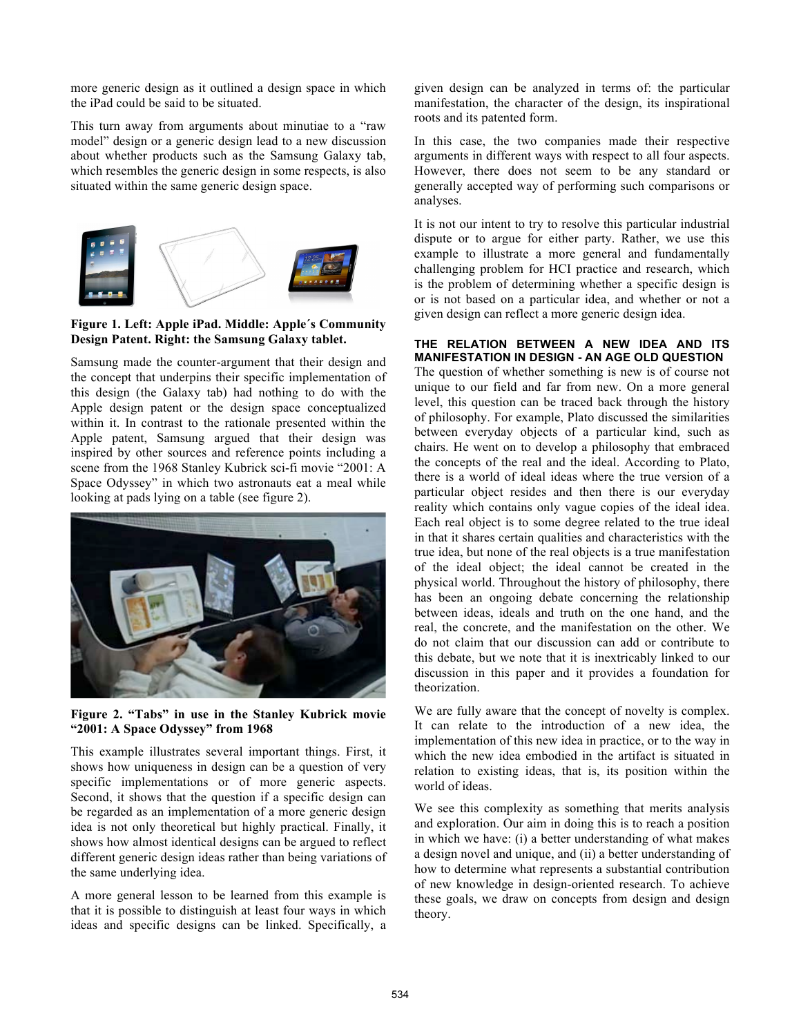more generic design as it outlined a design space in which the iPad could be said to be situated.

This turn away from arguments about minutiae to a "raw model" design or a generic design lead to a new discussion about whether products such as the Samsung Galaxy tab, which resembles the generic design in some respects, is also situated within the same generic design space.



**Figure 1. Left: Apple iPad. Middle: Apple´s Community Design Patent. Right: the Samsung Galaxy tablet.**

Samsung made the counter-argument that their design and the concept that underpins their specific implementation of this design (the Galaxy tab) had nothing to do with the Apple design patent or the design space conceptualized within it. In contrast to the rationale presented within the Apple patent, Samsung argued that their design was inspired by other sources and reference points including a scene from the 1968 Stanley Kubrick sci-fi movie "2001: A Space Odyssey" in which two astronauts eat a meal while looking at pads lying on a table (see figure 2).



**Figure 2. "Tabs" in use in the Stanley Kubrick movie "2001: A Space Odyssey" from 1968**

This example illustrates several important things. First, it shows how uniqueness in design can be a question of very specific implementations or of more generic aspects. Second, it shows that the question if a specific design can be regarded as an implementation of a more generic design idea is not only theoretical but highly practical. Finally, it shows how almost identical designs can be argued to reflect different generic design ideas rather than being variations of the same underlying idea.

A more general lesson to be learned from this example is that it is possible to distinguish at least four ways in which ideas and specific designs can be linked. Specifically, a given design can be analyzed in terms of: the particular manifestation, the character of the design, its inspirational roots and its patented form.

In this case, the two companies made their respective arguments in different ways with respect to all four aspects. However, there does not seem to be any standard or generally accepted way of performing such comparisons or analyses.

It is not our intent to try to resolve this particular industrial dispute or to argue for either party. Rather, we use this example to illustrate a more general and fundamentally challenging problem for HCI practice and research, which is the problem of determining whether a specific design is or is not based on a particular idea, and whether or not a given design can reflect a more generic design idea.

#### **THE RELATION BETWEEN A NEW IDEA AND ITS MANIFESTATION IN DESIGN - AN AGE OLD QUESTION**

The question of whether something is new is of course not unique to our field and far from new. On a more general level, this question can be traced back through the history of philosophy. For example, Plato discussed the similarities between everyday objects of a particular kind, such as chairs. He went on to develop a philosophy that embraced the concepts of the real and the ideal. According to Plato, there is a world of ideal ideas where the true version of a particular object resides and then there is our everyday reality which contains only vague copies of the ideal idea. Each real object is to some degree related to the true ideal in that it shares certain qualities and characteristics with the true idea, but none of the real objects is a true manifestation of the ideal object; the ideal cannot be created in the physical world. Throughout the history of philosophy, there has been an ongoing debate concerning the relationship between ideas, ideals and truth on the one hand, and the real, the concrete, and the manifestation on the other. We do not claim that our discussion can add or contribute to this debate, but we note that it is inextricably linked to our discussion in this paper and it provides a foundation for theorization.

We are fully aware that the concept of novelty is complex. It can relate to the introduction of a new idea, the implementation of this new idea in practice, or to the way in which the new idea embodied in the artifact is situated in relation to existing ideas, that is, its position within the world of ideas.

We see this complexity as something that merits analysis and exploration. Our aim in doing this is to reach a position in which we have: (i) a better understanding of what makes a design novel and unique, and (ii) a better understanding of how to determine what represents a substantial contribution of new knowledge in design-oriented research. To achieve these goals, we draw on concepts from design and design theory.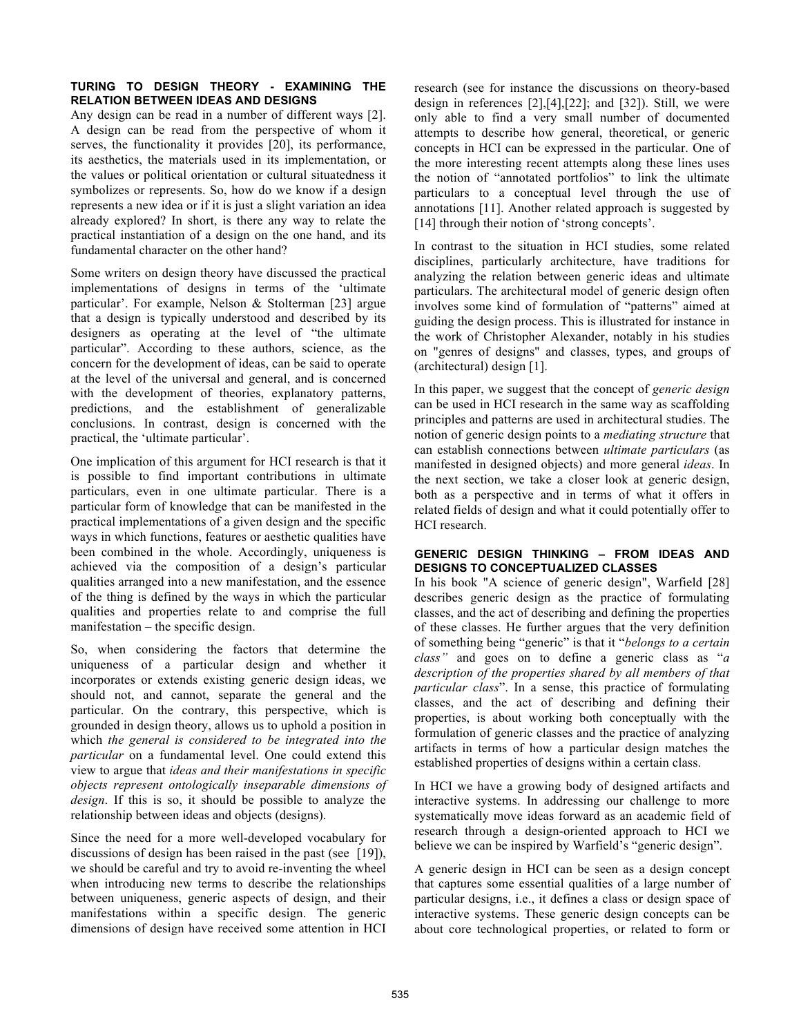## **TURING TO DESIGN THEORY - EXAMINING THE RELATION BETWEEN IDEAS AND DESIGNS**

Any design can be read in a number of different ways [2]. A design can be read from the perspective of whom it serves, the functionality it provides [20], its performance, its aesthetics, the materials used in its implementation, or the values or political orientation or cultural situatedness it symbolizes or represents. So, how do we know if a design represents a new idea or if it is just a slight variation an idea already explored? In short, is there any way to relate the practical instantiation of a design on the one hand, and its fundamental character on the other hand?

Some writers on design theory have discussed the practical implementations of designs in terms of the 'ultimate particular'. For example, Nelson & Stolterman [23] argue that a design is typically understood and described by its designers as operating at the level of "the ultimate particular". According to these authors, science, as the concern for the development of ideas, can be said to operate at the level of the universal and general, and is concerned with the development of theories, explanatory patterns, predictions, and the establishment of generalizable conclusions. In contrast, design is concerned with the practical, the 'ultimate particular'.

One implication of this argument for HCI research is that it is possible to find important contributions in ultimate particulars, even in one ultimate particular. There is a particular form of knowledge that can be manifested in the practical implementations of a given design and the specific ways in which functions, features or aesthetic qualities have been combined in the whole. Accordingly, uniqueness is achieved via the composition of a design's particular qualities arranged into a new manifestation, and the essence of the thing is defined by the ways in which the particular qualities and properties relate to and comprise the full manifestation – the specific design.

So, when considering the factors that determine the uniqueness of a particular design and whether it incorporates or extends existing generic design ideas, we should not, and cannot, separate the general and the particular. On the contrary, this perspective, which is grounded in design theory, allows us to uphold a position in which *the general is considered to be integrated into the particular* on a fundamental level. One could extend this view to argue that *ideas and their manifestations in specific objects represent ontologically inseparable dimensions of design*. If this is so, it should be possible to analyze the relationship between ideas and objects (designs).

Since the need for a more well-developed vocabulary for discussions of design has been raised in the past (see [19]), we should be careful and try to avoid re-inventing the wheel when introducing new terms to describe the relationships between uniqueness, generic aspects of design, and their manifestations within a specific design. The generic dimensions of design have received some attention in HCI research (see for instance the discussions on theory-based design in references [2],[4],[22]; and [32]). Still, we were only able to find a very small number of documented attempts to describe how general, theoretical, or generic concepts in HCI can be expressed in the particular. One of the more interesting recent attempts along these lines uses the notion of "annotated portfolios" to link the ultimate particulars to a conceptual level through the use of annotations [11]. Another related approach is suggested by [14] through their notion of 'strong concepts'.

In contrast to the situation in HCI studies, some related disciplines, particularly architecture, have traditions for analyzing the relation between generic ideas and ultimate particulars. The architectural model of generic design often involves some kind of formulation of "patterns" aimed at guiding the design process. This is illustrated for instance in the work of Christopher Alexander, notably in his studies on "genres of designs" and classes, types, and groups of (architectural) design [1].

In this paper, we suggest that the concept of *generic design* can be used in HCI research in the same way as scaffolding principles and patterns are used in architectural studies. The notion of generic design points to a *mediating structure* that can establish connections between *ultimate particulars* (as manifested in designed objects) and more general *ideas*. In the next section, we take a closer look at generic design, both as a perspective and in terms of what it offers in related fields of design and what it could potentially offer to HCI research.

## **GENERIC DESIGN THINKING – FROM IDEAS AND DESIGNS TO CONCEPTUALIZED CLASSES**

In his book "A science of generic design", Warfield [28] describes generic design as the practice of formulating classes, and the act of describing and defining the properties of these classes. He further argues that the very definition of something being "generic" is that it "*belongs to a certain class"* and goes on to define a generic class as "*a description of the properties shared by all members of that particular class*". In a sense, this practice of formulating classes, and the act of describing and defining their properties, is about working both conceptually with the formulation of generic classes and the practice of analyzing artifacts in terms of how a particular design matches the established properties of designs within a certain class.

In HCI we have a growing body of designed artifacts and interactive systems. In addressing our challenge to more systematically move ideas forward as an academic field of research through a design-oriented approach to HCI we believe we can be inspired by Warfield's "generic design".

A generic design in HCI can be seen as a design concept that captures some essential qualities of a large number of particular designs, i.e., it defines a class or design space of interactive systems. These generic design concepts can be about core technological properties, or related to form or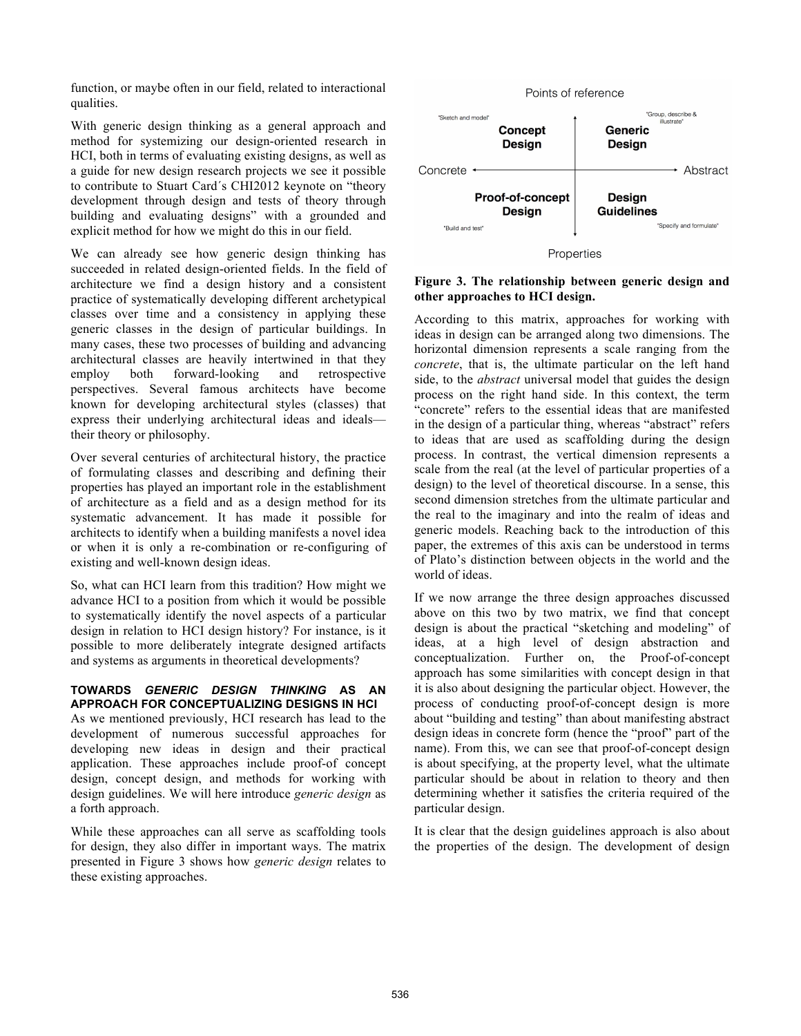function, or maybe often in our field, related to interactional qualities.

With generic design thinking as a general approach and method for systemizing our design-oriented research in HCI, both in terms of evaluating existing designs, as well as a guide for new design research projects we see it possible to contribute to Stuart Card´s CHI2012 keynote on "theory development through design and tests of theory through building and evaluating designs" with a grounded and explicit method for how we might do this in our field.

We can already see how generic design thinking has succeeded in related design-oriented fields. In the field of architecture we find a design history and a consistent practice of systematically developing different archetypical classes over time and a consistency in applying these generic classes in the design of particular buildings. In many cases, these two processes of building and advancing architectural classes are heavily intertwined in that they employ both forward-looking and retrospective perspectives. Several famous architects have become known for developing architectural styles (classes) that express their underlying architectural ideas and ideals their theory or philosophy.

Over several centuries of architectural history, the practice of formulating classes and describing and defining their properties has played an important role in the establishment of architecture as a field and as a design method for its systematic advancement. It has made it possible for architects to identify when a building manifests a novel idea or when it is only a re-combination or re-configuring of existing and well-known design ideas.

So, what can HCI learn from this tradition? How might we advance HCI to a position from which it would be possible to systematically identify the novel aspects of a particular design in relation to HCI design history? For instance, is it possible to more deliberately integrate designed artifacts and systems as arguments in theoretical developments?

#### **TOWARDS** *GENERIC DESIGN THINKING* **AS AN APPROACH FOR CONCEPTUALIZING DESIGNS IN HCI**

As we mentioned previously, HCI research has lead to the development of numerous successful approaches for developing new ideas in design and their practical application. These approaches include proof-of concept design, concept design, and methods for working with design guidelines. We will here introduce *generic design* as a forth approach.

While these approaches can all serve as scaffolding tools for design, they also differ in important ways. The matrix presented in Figure 3 shows how *generic design* relates to these existing approaches.



## **Figure 3. The relationship between generic design and other approaches to HCI design.**

According to this matrix, approaches for working with ideas in design can be arranged along two dimensions. The horizontal dimension represents a scale ranging from the *concrete*, that is, the ultimate particular on the left hand side, to the *abstract* universal model that guides the design process on the right hand side. In this context, the term "concrete" refers to the essential ideas that are manifested in the design of a particular thing, whereas "abstract" refers to ideas that are used as scaffolding during the design process. In contrast, the vertical dimension represents a scale from the real (at the level of particular properties of a design) to the level of theoretical discourse. In a sense, this second dimension stretches from the ultimate particular and the real to the imaginary and into the realm of ideas and generic models. Reaching back to the introduction of this paper, the extremes of this axis can be understood in terms of Plato's distinction between objects in the world and the world of ideas.

If we now arrange the three design approaches discussed above on this two by two matrix, we find that concept design is about the practical "sketching and modeling" of ideas, at a high level of design abstraction and conceptualization. Further on, the Proof-of-concept approach has some similarities with concept design in that it is also about designing the particular object. However, the process of conducting proof-of-concept design is more about "building and testing" than about manifesting abstract design ideas in concrete form (hence the "proof" part of the name). From this, we can see that proof-of-concept design is about specifying, at the property level, what the ultimate particular should be about in relation to theory and then determining whether it satisfies the criteria required of the particular design.

It is clear that the design guidelines approach is also about the properties of the design. The development of design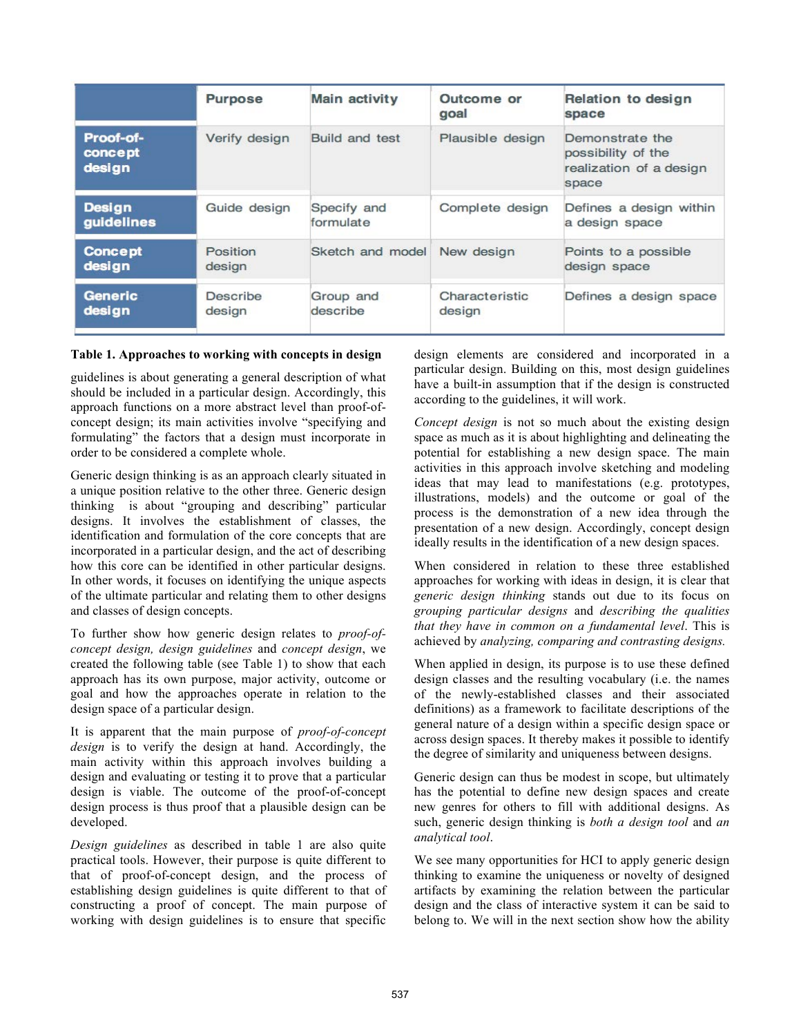|                                | <b>Purpose</b>            | <b>Main activity</b>     | Outcome or<br>qoal       | Relation to design<br>space                                               |
|--------------------------------|---------------------------|--------------------------|--------------------------|---------------------------------------------------------------------------|
| Proof-of-<br>concept<br>design | Verify design             | Build and test           | Plausible design         | Demonstrate the<br>possibility of the<br>realization of a design<br>space |
| <b>Design</b><br>guidelines    | Guide design              | Specify and<br>formulate | Complete design          | Defines a design within<br>a design space                                 |
| <b>Concept</b><br>design       | Position<br>design        | Sketch and model         | New design               | Points to a possible<br>design space                                      |
| <b>Generic</b><br>design       | <b>Describe</b><br>design | Group and<br>describe    | Characteristic<br>design | Defines a design space                                                    |

## **Table 1. Approaches to working with concepts in design**

guidelines is about generating a general description of what should be included in a particular design. Accordingly, this approach functions on a more abstract level than proof-ofconcept design; its main activities involve "specifying and formulating" the factors that a design must incorporate in order to be considered a complete whole.

Generic design thinking is as an approach clearly situated in a unique position relative to the other three. Generic design thinking is about "grouping and describing" particular designs. It involves the establishment of classes, the identification and formulation of the core concepts that are incorporated in a particular design, and the act of describing how this core can be identified in other particular designs. In other words, it focuses on identifying the unique aspects of the ultimate particular and relating them to other designs and classes of design concepts.

To further show how generic design relates to *proof-ofconcept design, design guidelines* and *concept design*, we created the following table (see Table 1) to show that each approach has its own purpose, major activity, outcome or goal and how the approaches operate in relation to the design space of a particular design.

It is apparent that the main purpose of *proof-of-concept design* is to verify the design at hand. Accordingly, the main activity within this approach involves building a design and evaluating or testing it to prove that a particular design is viable. The outcome of the proof-of-concept design process is thus proof that a plausible design can be developed.

*Design guidelines* as described in table 1 are also quite practical tools. However, their purpose is quite different to that of proof-of-concept design, and the process of establishing design guidelines is quite different to that of constructing a proof of concept. The main purpose of working with design guidelines is to ensure that specific design elements are considered and incorporated in a particular design. Building on this, most design guidelines have a built-in assumption that if the design is constructed according to the guidelines, it will work.

*Concept design* is not so much about the existing design space as much as it is about highlighting and delineating the potential for establishing a new design space. The main activities in this approach involve sketching and modeling ideas that may lead to manifestations (e.g. prototypes, illustrations, models) and the outcome or goal of the process is the demonstration of a new idea through the presentation of a new design. Accordingly, concept design ideally results in the identification of a new design spaces.

When considered in relation to these three established approaches for working with ideas in design, it is clear that *generic design thinking* stands out due to its focus on *grouping particular designs* and *describing the qualities that they have in common on a fundamental level*. This is achieved by *analyzing, comparing and contrasting designs.*

When applied in design, its purpose is to use these defined design classes and the resulting vocabulary (i.e. the names of the newly-established classes and their associated definitions) as a framework to facilitate descriptions of the general nature of a design within a specific design space or across design spaces. It thereby makes it possible to identify the degree of similarity and uniqueness between designs.

Generic design can thus be modest in scope, but ultimately has the potential to define new design spaces and create new genres for others to fill with additional designs. As such, generic design thinking is *both a design tool* and *an analytical tool*.

We see many opportunities for HCI to apply generic design thinking to examine the uniqueness or novelty of designed artifacts by examining the relation between the particular design and the class of interactive system it can be said to belong to. We will in the next section show how the ability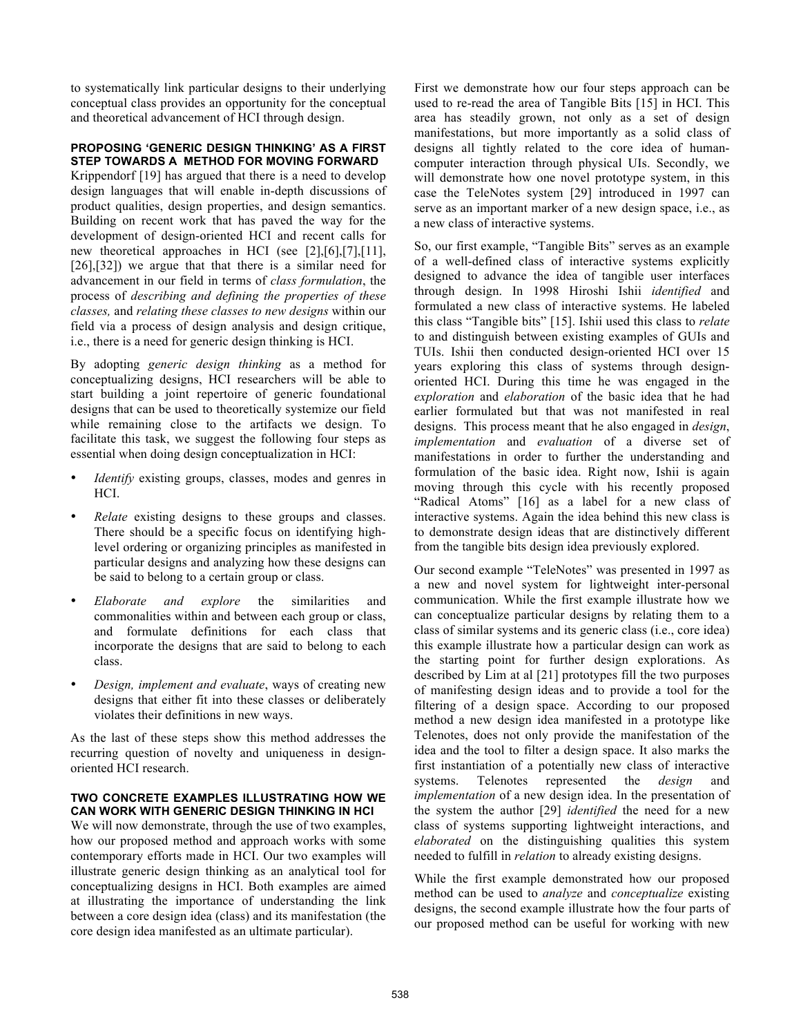to systematically link particular designs to their underlying conceptual class provides an opportunity for the conceptual and theoretical advancement of HCI through design.

### **PROPOSING 'GENERIC DESIGN THINKING' AS A FIRST STEP TOWARDS A METHOD FOR MOVING FORWARD**

Krippendorf [19] has argued that there is a need to develop design languages that will enable in-depth discussions of product qualities, design properties, and design semantics. Building on recent work that has paved the way for the development of design-oriented HCI and recent calls for new theoretical approaches in HCI (see [2],[6],[7],[11], [26],[32]) we argue that that there is a similar need for advancement in our field in terms of *class formulation*, the process of *describing and defining the properties of these classes,* and *relating these classes to new designs* within our field via a process of design analysis and design critique, i.e., there is a need for generic design thinking is HCI.

By adopting *generic design thinking* as a method for conceptualizing designs, HCI researchers will be able to start building a joint repertoire of generic foundational designs that can be used to theoretically systemize our field while remaining close to the artifacts we design. To facilitate this task, we suggest the following four steps as essential when doing design conceptualization in HCI:

- *Identify* existing groups, classes, modes and genres in HCI.
- Relate existing designs to these groups and classes. There should be a specific focus on identifying highlevel ordering or organizing principles as manifested in particular designs and analyzing how these designs can be said to belong to a certain group or class.
- *Elaborate and explore* the similarities and commonalities within and between each group or class, and formulate definitions for each class that incorporate the designs that are said to belong to each class.
- *Design, implement and evaluate*, ways of creating new designs that either fit into these classes or deliberately violates their definitions in new ways.

As the last of these steps show this method addresses the recurring question of novelty and uniqueness in designoriented HCI research.

#### **TWO CONCRETE EXAMPLES ILLUSTRATING HOW WE CAN WORK WITH GENERIC DESIGN THINKING IN HCI**

We will now demonstrate, through the use of two examples, how our proposed method and approach works with some contemporary efforts made in HCI. Our two examples will illustrate generic design thinking as an analytical tool for conceptualizing designs in HCI. Both examples are aimed at illustrating the importance of understanding the link between a core design idea (class) and its manifestation (the core design idea manifested as an ultimate particular).

First we demonstrate how our four steps approach can be used to re-read the area of Tangible Bits [15] in HCI. This area has steadily grown, not only as a set of design manifestations, but more importantly as a solid class of designs all tightly related to the core idea of humancomputer interaction through physical UIs. Secondly, we will demonstrate how one novel prototype system, in this case the TeleNotes system [29] introduced in 1997 can serve as an important marker of a new design space, i.e., as a new class of interactive systems.

So, our first example, "Tangible Bits" serves as an example of a well-defined class of interactive systems explicitly designed to advance the idea of tangible user interfaces through design. In 1998 Hiroshi Ishii *identified* and formulated a new class of interactive systems. He labeled this class "Tangible bits" [15]. Ishii used this class to *relate* to and distinguish between existing examples of GUIs and TUIs. Ishii then conducted design-oriented HCI over 15 years exploring this class of systems through designoriented HCI. During this time he was engaged in the *exploration* and *elaboration* of the basic idea that he had earlier formulated but that was not manifested in real designs. This process meant that he also engaged in *design*, *implementation* and *evaluation* of a diverse set of manifestations in order to further the understanding and formulation of the basic idea. Right now, Ishii is again moving through this cycle with his recently proposed "Radical Atoms" [16] as a label for a new class of interactive systems. Again the idea behind this new class is to demonstrate design ideas that are distinctively different from the tangible bits design idea previously explored.

Our second example "TeleNotes" was presented in 1997 as a new and novel system for lightweight inter-personal communication. While the first example illustrate how we can conceptualize particular designs by relating them to a class of similar systems and its generic class (i.e., core idea) this example illustrate how a particular design can work as the starting point for further design explorations. As described by Lim at al [21] prototypes fill the two purposes of manifesting design ideas and to provide a tool for the filtering of a design space. According to our proposed method a new design idea manifested in a prototype like Telenotes, does not only provide the manifestation of the idea and the tool to filter a design space. It also marks the first instantiation of a potentially new class of interactive systems. Telenotes represented the *design* and *implementation* of a new design idea. In the presentation of the system the author [29] *identified* the need for a new class of systems supporting lightweight interactions, and *elaborated* on the distinguishing qualities this system needed to fulfill in *relation* to already existing designs.

While the first example demonstrated how our proposed method can be used to *analyze* and *conceptualize* existing designs, the second example illustrate how the four parts of our proposed method can be useful for working with new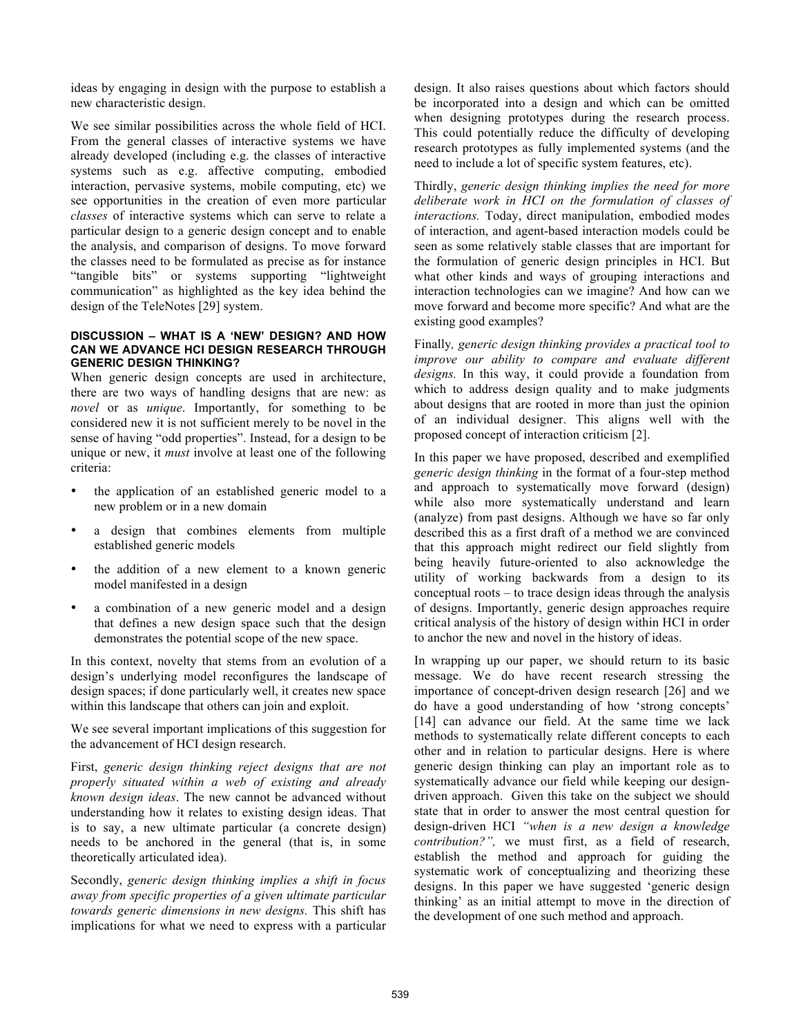ideas by engaging in design with the purpose to establish a new characteristic design.

We see similar possibilities across the whole field of HCI. From the general classes of interactive systems we have already developed (including e.g. the classes of interactive systems such as e.g. affective computing, embodied interaction, pervasive systems, mobile computing, etc) we see opportunities in the creation of even more particular *classes* of interactive systems which can serve to relate a particular design to a generic design concept and to enable the analysis, and comparison of designs. To move forward the classes need to be formulated as precise as for instance "tangible bits" or systems supporting "lightweight communication" as highlighted as the key idea behind the design of the TeleNotes [29] system.

## **DISCUSSION – WHAT IS A 'NEW' DESIGN? AND HOW CAN WE ADVANCE HCI DESIGN RESEARCH THROUGH GENERIC DESIGN THINKING?**

When generic design concepts are used in architecture, there are two ways of handling designs that are new: as *novel* or as *unique*. Importantly, for something to be considered new it is not sufficient merely to be novel in the sense of having "odd properties". Instead, for a design to be unique or new, it *must* involve at least one of the following criteria:

- the application of an established generic model to a new problem or in a new domain
- a design that combines elements from multiple established generic models
- the addition of a new element to a known generic model manifested in a design
- a combination of a new generic model and a design that defines a new design space such that the design demonstrates the potential scope of the new space.

In this context, novelty that stems from an evolution of a design's underlying model reconfigures the landscape of design spaces; if done particularly well, it creates new space within this landscape that others can join and exploit.

We see several important implications of this suggestion for the advancement of HCI design research.

First, *generic design thinking reject designs that are not properly situated within a web of existing and already known design ideas*. The new cannot be advanced without understanding how it relates to existing design ideas. That is to say, a new ultimate particular (a concrete design) needs to be anchored in the general (that is, in some theoretically articulated idea).

Secondly, *generic design thinking implies a shift in focus away from specific properties of a given ultimate particular towards generic dimensions in new designs.* This shift has implications for what we need to express with a particular design. It also raises questions about which factors should be incorporated into a design and which can be omitted when designing prototypes during the research process. This could potentially reduce the difficulty of developing research prototypes as fully implemented systems (and the need to include a lot of specific system features, etc).

Thirdly, *generic design thinking implies the need for more deliberate work in HCI on the formulation of classes of interactions.* Today, direct manipulation, embodied modes of interaction, and agent-based interaction models could be seen as some relatively stable classes that are important for the formulation of generic design principles in HCI. But what other kinds and ways of grouping interactions and interaction technologies can we imagine? And how can we move forward and become more specific? And what are the existing good examples?

Finally*, generic design thinking provides a practical tool to improve our ability to compare and evaluate different designs.* In this way, it could provide a foundation from which to address design quality and to make judgments about designs that are rooted in more than just the opinion of an individual designer. This aligns well with the proposed concept of interaction criticism [2].

In this paper we have proposed, described and exemplified *generic design thinking* in the format of a four-step method and approach to systematically move forward (design) while also more systematically understand and learn (analyze) from past designs. Although we have so far only described this as a first draft of a method we are convinced that this approach might redirect our field slightly from being heavily future-oriented to also acknowledge the utility of working backwards from a design to its conceptual roots – to trace design ideas through the analysis of designs. Importantly, generic design approaches require critical analysis of the history of design within HCI in order to anchor the new and novel in the history of ideas.

In wrapping up our paper, we should return to its basic message. We do have recent research stressing the importance of concept-driven design research [26] and we do have a good understanding of how 'strong concepts' [14] can advance our field. At the same time we lack methods to systematically relate different concepts to each other and in relation to particular designs. Here is where generic design thinking can play an important role as to systematically advance our field while keeping our designdriven approach. Given this take on the subject we should state that in order to answer the most central question for design-driven HCI *"when is a new design a knowledge contribution?",* we must first, as a field of research, establish the method and approach for guiding the systematic work of conceptualizing and theorizing these designs. In this paper we have suggested 'generic design thinking' as an initial attempt to move in the direction of the development of one such method and approach.